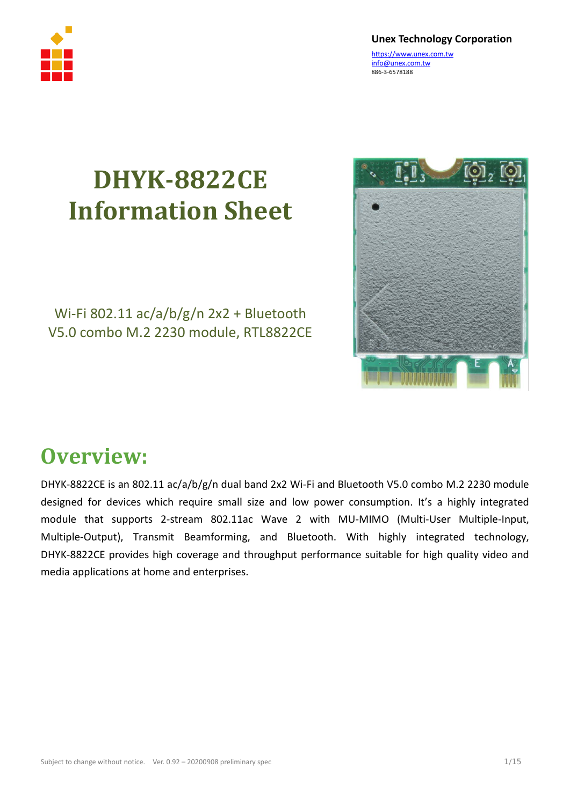

**Unex Technology Corporation**

[https://www.unex.com.tw](https://www.unex.com.tw/) info@unex.com.tw 886-3-6578188

## **DHYK-8822CE Information Sheet**

#### Wi-Fi 802.11 ac/a/b/g/n 2x2 + Bluetooth V5.0 combo M.2 2230 module, RTL8822CE



#### **Overview:**

DHYK-8822CE is an 802.11 ac/a/b/g/n dual band 2x2 Wi-Fi and Bluetooth V5.0 combo M.2 2230 module designed for devices which require small size and low power consumption. It's a highly integrated module that supports 2-stream 802.11ac Wave 2 with MU-MIMO (Multi-User Multiple-Input, Multiple-Output), Transmit Beamforming, and Bluetooth. With highly integrated technology, DHYK-8822CE provides high coverage and throughput performance suitable for high quality video and media applications at home and enterprises.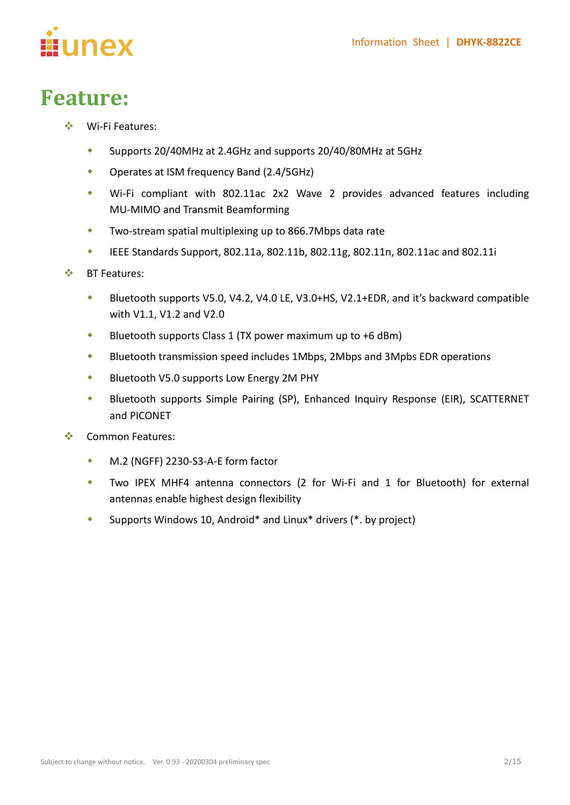

### **Feature:**

- Wi-Fi Features:
	- Supports 20/40MHz at 2.4GHz and supports 20/40/80MHz at 5GHz
	- Operates at ISM frequency Band (2.4/5GHz)
	- Wi-Fi compliant with 802.11ac 2x2 Wave 2 provides advanced features including MU-MIMO and Transmit Beamforming
	- Two-stream spatial multiplexing up to 866.7Mbps data rate
	- $\bullet$  IEEE Standards Support, 802.11a, 802.11b, 802.11g, 802.11n, 802.11ac and 802.11i
- BT Features:
	- Bluetooth supports V5.0, V4.2, V4.0 LE, V3.0+HS, V2.1+EDR, and it's backward compatible with V1.1, V1.2 and V2.0
	- Bluetooth supports Class 1 (TX power maximum up to +6 dBm)
	- Bluetooth transmission speed includes 1Mbps, 2Mbps and 3Mpbs EDR operations
	- **Bluetooth V5.0 supports Low Energy 2M PHY**
	- Bluetooth supports Simple Pairing (SP), Enhanced Inquiry Response (EIR), SCATTERNET and PICONET
- ❖ Common Features:
	- M.2 (NGFF) 2230-S3-A-E form factor
	- Two IPEX MHF4 antenna connectors (2 for Wi-Fi and 1 for Bluetooth) for external antennas enable highest design flexibility
	- Supports Windows 10, Android\* and Linux\* drivers (\*. by project)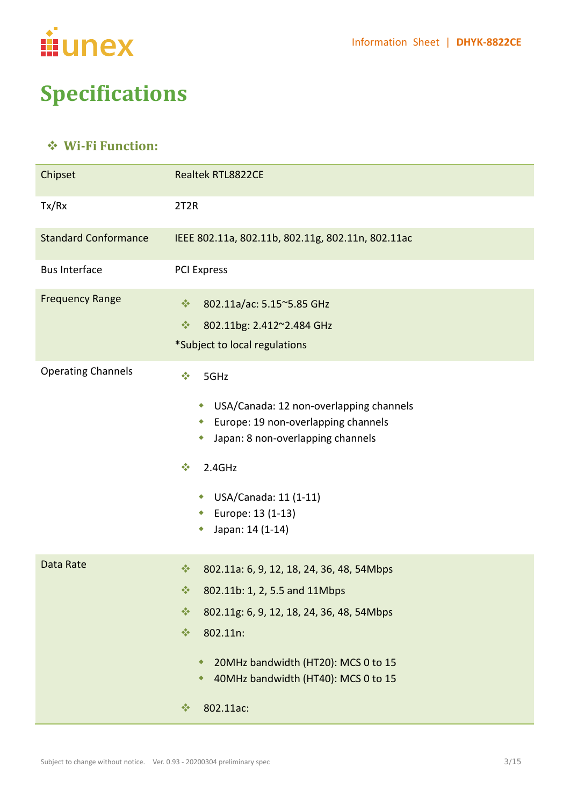

### **Specifications**

#### **Wi-Fi Function:**

| Chipset                     | <b>Realtek RTL8822CE</b>                                                                                                                                                                                                                                                                                           |  |  |  |  |
|-----------------------------|--------------------------------------------------------------------------------------------------------------------------------------------------------------------------------------------------------------------------------------------------------------------------------------------------------------------|--|--|--|--|
| Tx/Rx                       | 2T <sub>2</sub> R                                                                                                                                                                                                                                                                                                  |  |  |  |  |
| <b>Standard Conformance</b> | IEEE 802.11a, 802.11b, 802.11g, 802.11n, 802.11ac                                                                                                                                                                                                                                                                  |  |  |  |  |
| <b>Bus Interface</b>        | <b>PCI Express</b>                                                                                                                                                                                                                                                                                                 |  |  |  |  |
| <b>Frequency Range</b>      | $\frac{1}{2}$<br>802.11a/ac: 5.15~5.85 GHz<br>$\frac{1}{2}$<br>802.11bg: 2.412~2.484 GHz<br>*Subject to local regulations                                                                                                                                                                                          |  |  |  |  |
| <b>Operating Channels</b>   | $\sigma_{\rm eff}^{\rm 2}$<br>5GHz<br>USA/Canada: 12 non-overlapping channels<br>۰<br>Europe: 19 non-overlapping channels<br>۰<br>Japan: 8 non-overlapping channels<br>۰<br>2.4GHz<br>$\frac{1}{2}$<br>USA/Canada: 11 (1-11)<br>۰<br>Europe: 13 (1-13)<br>۰<br>Japan: 14 (1-14)                                    |  |  |  |  |
| Data Rate                   | $\frac{1}{2}$<br>802.11a: 6, 9, 12, 18, 24, 36, 48, 54Mbps<br>802.11b: 1, 2, 5.5 and 11Mbps<br>察。<br>$\frac{1}{2}$<br>802.11g: 6, 9, 12, 18, 24, 36, 48, 54Mbps<br>$\frac{1}{2}$<br>802.11n:<br>20MHz bandwidth (HT20): MCS 0 to 15<br>٠<br>40MHz bandwidth (HT40): MCS 0 to 15<br>٠<br>802.11ac:<br>$\frac{1}{2}$ |  |  |  |  |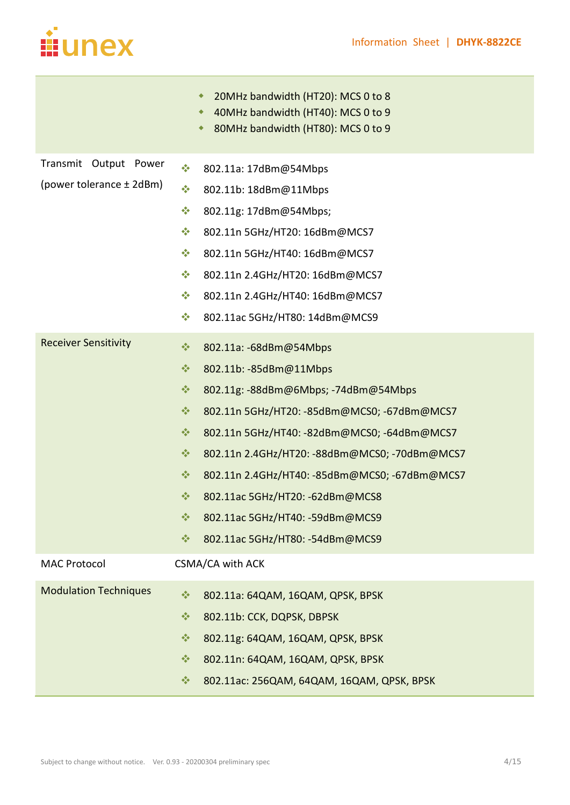

<u> Tanzania (</u>

| 20MHz bandwidth (HT20): MCS 0 to 8<br>۰                         |  |  |  |  |
|-----------------------------------------------------------------|--|--|--|--|
| 40MHz bandwidth (HT40): MCS 0 to 9<br>٠                         |  |  |  |  |
| 80MHz bandwidth (HT80): MCS 0 to 9<br>٠                         |  |  |  |  |
| $\frac{\partial^2 \phi}{\partial x^2}$<br>802.11a: 17dBm@54Mbps |  |  |  |  |
| $\frac{\partial^2 \phi}{\partial x^2}$<br>802.11b: 18dBm@11Mbps |  |  |  |  |
| $\frac{1}{2}$<br>802.11g: 17dBm@54Mbps;                         |  |  |  |  |
| $\frac{1}{2}$<br>802.11n 5GHz/HT20: 16dBm@MCS7                  |  |  |  |  |
| $\frac{1}{2}$<br>802.11n 5GHz/HT40: 16dBm@MCS7                  |  |  |  |  |
| $\frac{1}{2}$<br>802.11n 2.4GHz/HT20: 16dBm@MCS7                |  |  |  |  |
| $\frac{1}{2}$<br>802.11n 2.4GHz/HT40: 16dBm@MCS7                |  |  |  |  |
| $\frac{1}{2}$<br>802.11ac 5GHz/HT80: 14dBm@MCS9                 |  |  |  |  |
| $\frac{1}{2}$<br>802.11a: -68dBm@54Mbps                         |  |  |  |  |
| $\frac{1}{2}$<br>802.11b: -85dBm@11Mbps                         |  |  |  |  |
| $\frac{1}{2}$<br>802.11g: -88dBm@6Mbps; -74dBm@54Mbps           |  |  |  |  |
| $\frac{1}{2}$<br>802.11n 5GHz/HT20: - 85dBm@MCS0; - 67dBm@MCS7  |  |  |  |  |
| 豪<br>802.11n 5GHz/HT40: - 82dBm@MCS0; - 64dBm@MCS7              |  |  |  |  |
| $\frac{1}{2}$<br>802.11n 2.4GHz/HT20: -88dBm@MCS0; -70dBm@MCS7  |  |  |  |  |
| $\frac{1}{2}$<br>802.11n 2.4GHz/HT40: -85dBm@MCS0; -67dBm@MCS7  |  |  |  |  |
| $\frac{1}{2}$<br>802.11ac 5GHz/HT20: -62dBm@MCS8                |  |  |  |  |
| 802.11ac 5GHz/HT40: - 59dBm@MCS9<br>榛                           |  |  |  |  |
| $\frac{1}{2}$<br>802.11ac 5GHz/HT80: -54dBm@MCS9                |  |  |  |  |
| CSMA/CA with ACK                                                |  |  |  |  |
| $\frac{1}{2}$<br>802.11a: 64QAM, 16QAM, QPSK, BPSK              |  |  |  |  |
| $\frac{1}{2}$<br>802.11b: CCK, DQPSK, DBPSK                     |  |  |  |  |
| $\frac{1}{2}$<br>802.11g: 64QAM, 16QAM, QPSK, BPSK              |  |  |  |  |
| $\frac{1}{2}$<br>802.11n: 64QAM, 16QAM, QPSK, BPSK              |  |  |  |  |
| $\frac{1}{2}$<br>802.11ac: 256QAM, 64QAM, 16QAM, QPSK, BPSK     |  |  |  |  |
|                                                                 |  |  |  |  |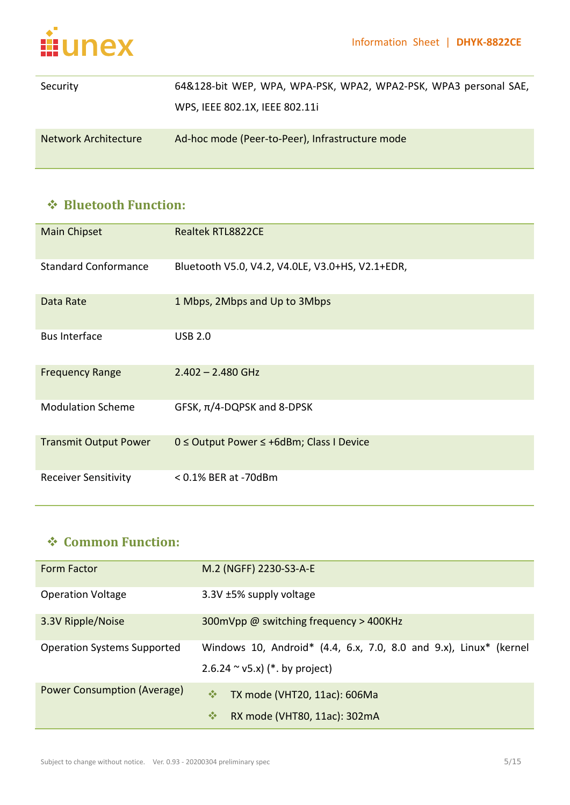

| Security                    | 64&128-bit WEP, WPA, WPA-PSK, WPA2, WPA2-PSK, WPA3 personal SAE, |  |  |  |  |
|-----------------------------|------------------------------------------------------------------|--|--|--|--|
|                             | WPS, IEEE 802.1X, IEEE 802.11i                                   |  |  |  |  |
| <b>Network Architecture</b> | Ad-hoc mode (Peer-to-Peer), Infrastructure mode                  |  |  |  |  |

#### **Bluetooth Function:**

| Main Chipset                 | <b>Realtek RTL8822CE</b>                           |
|------------------------------|----------------------------------------------------|
| <b>Standard Conformance</b>  | Bluetooth V5.0, V4.2, V4.0LE, V3.0+HS, V2.1+EDR,   |
| Data Rate                    | 1 Mbps, 2Mbps and Up to 3Mbps                      |
| <b>Bus Interface</b>         | <b>USB 2.0</b>                                     |
| <b>Frequency Range</b>       | $2.402 - 2.480$ GHz                                |
| <b>Modulation Scheme</b>     | GFSK, $\pi/4$ -DQPSK and 8-DPSK                    |
| <b>Transmit Output Power</b> | $0 \leq$ Output Power $\leq$ +6dBm; Class I Device |
| <b>Receiver Sensitivity</b>  | $< 0.1\%$ BER at -70dBm                            |

#### **Common Function:**

| <b>Form Factor</b>                 | M.2 (NGFF) 2230-S3-A-E                                                                                   |  |  |  |  |
|------------------------------------|----------------------------------------------------------------------------------------------------------|--|--|--|--|
| <b>Operation Voltage</b>           | 3.3V ±5% supply voltage                                                                                  |  |  |  |  |
| 3.3V Ripple/Noise                  | 300mVpp @ switching frequency > 400KHz                                                                   |  |  |  |  |
| <b>Operation Systems Supported</b> | Windows 10, Android* $(4.4, 6.x, 7.0, 8.0, 1.0x)$ , Linux* (kernel<br>$2.6.24 \sim v5.x$ (*. by project) |  |  |  |  |
| Power Consumption (Average)        | 豪<br>TX mode (VHT20, 11ac): 606Ma<br>察<br>RX mode (VHT80, 11ac): 302mA                                   |  |  |  |  |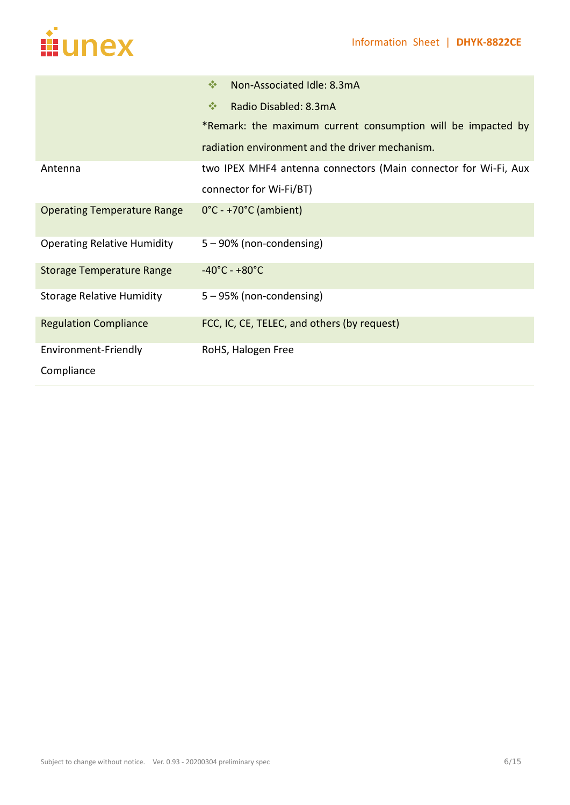

|                                    | 榛<br>Non-Associated Idle: 8.3mA                                 |
|------------------------------------|-----------------------------------------------------------------|
|                                    | 榛<br>Radio Disabled: 8.3mA                                      |
|                                    | *Remark: the maximum current consumption will be impacted by    |
|                                    | radiation environment and the driver mechanism.                 |
| Antenna                            | two IPEX MHF4 antenna connectors (Main connector for Wi-Fi, Aux |
|                                    | connector for Wi-Fi/BT)                                         |
| <b>Operating Temperature Range</b> | $0^{\circ}$ C - +70 $^{\circ}$ C (ambient)                      |
| <b>Operating Relative Humidity</b> | 5 - 90% (non-condensing)                                        |
| <b>Storage Temperature Range</b>   | $-40^{\circ}$ C - +80 $^{\circ}$ C                              |
| <b>Storage Relative Humidity</b>   | 5 - 95% (non-condensing)                                        |
| <b>Regulation Compliance</b>       | FCC, IC, CE, TELEC, and others (by request)                     |
| Environment-Friendly               | RoHS, Halogen Free                                              |
| Compliance                         |                                                                 |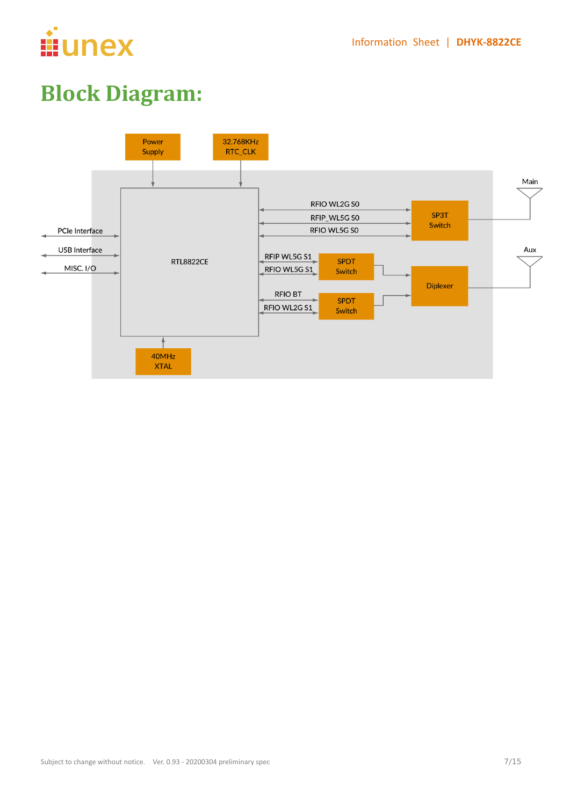

### **Block Diagram:**

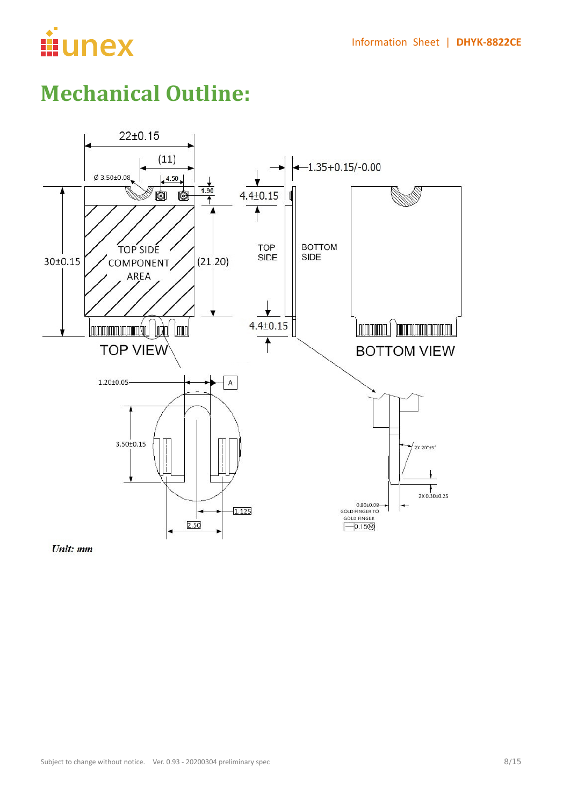

### **Mechanical Outline:**



Unit: mm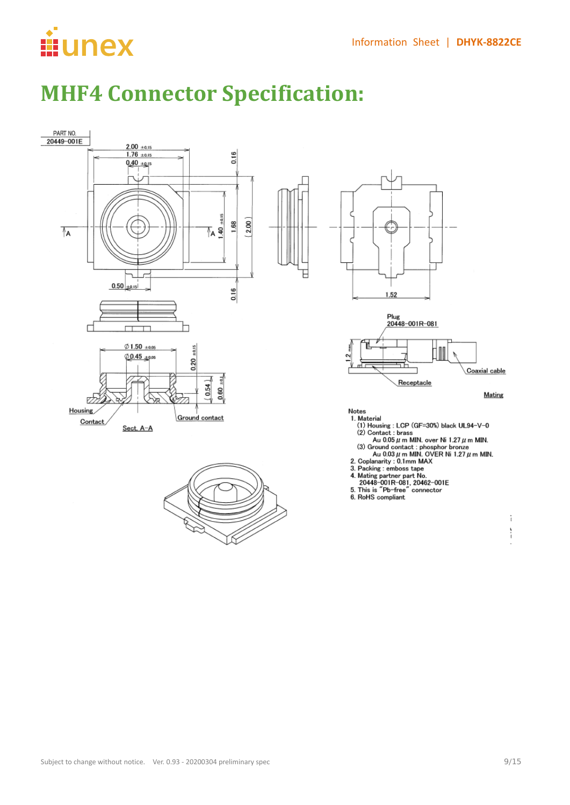# **ii**unex

### **MHF4 Connector Specification:**

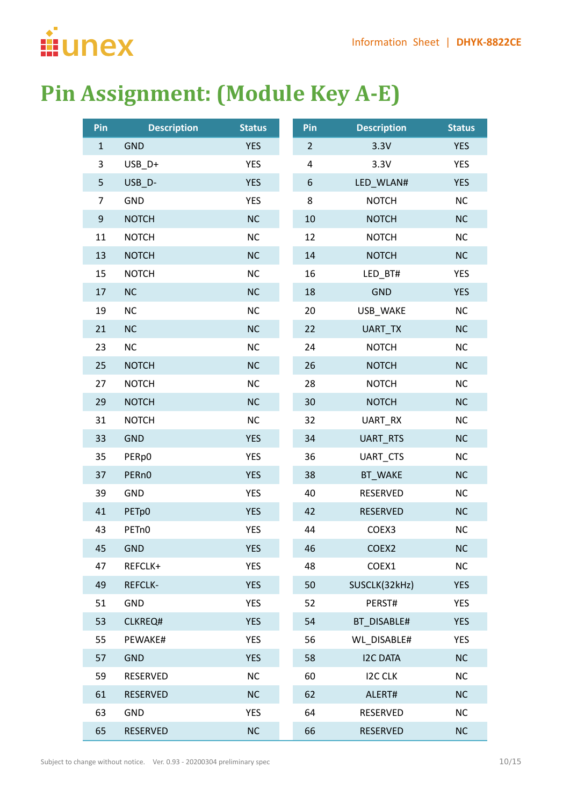

### **Pin Assignment: (Module Key A-E)**

| Pin          | <b>Description</b> | <b>Status</b> | Pin            | <b>Description</b> | <b>Status</b> |
|--------------|--------------------|---------------|----------------|--------------------|---------------|
| $\mathbf{1}$ | <b>GND</b>         | <b>YES</b>    | $\overline{2}$ | 3.3V               | <b>YES</b>    |
| 3            | USB_D+             | <b>YES</b>    | 4              | 3.3V               | <b>YES</b>    |
| 5            | USB_D-             | <b>YES</b>    | 6              | LED_WLAN#          | <b>YES</b>    |
| 7            | <b>GND</b>         | <b>YES</b>    | 8              | <b>NOTCH</b>       | NC            |
| 9            | <b>NOTCH</b>       | <b>NC</b>     | 10             | <b>NOTCH</b>       | NC            |
| 11           | <b>NOTCH</b>       | <b>NC</b>     | 12             | <b>NOTCH</b>       | <b>NC</b>     |
| 13           | <b>NOTCH</b>       | <b>NC</b>     | 14             | <b>NOTCH</b>       | NC            |
| 15           | <b>NOTCH</b>       | <b>NC</b>     | 16             | LED_BT#            | <b>YES</b>    |
| 17           | NC                 | <b>NC</b>     | 18             | <b>GND</b>         | <b>YES</b>    |
| 19           | NC                 | <b>NC</b>     | 20             | USB_WAKE           | <b>NC</b>     |
| 21           | NC                 | <b>NC</b>     | 22             | UART_TX            | NC            |
| 23           | NC                 | <b>NC</b>     | 24             | <b>NOTCH</b>       | NC            |
| 25           | <b>NOTCH</b>       | <b>NC</b>     | 26             | <b>NOTCH</b>       | NC            |
| 27           | <b>NOTCH</b>       | <b>NC</b>     | 28             | <b>NOTCH</b>       | NC            |
| 29           | <b>NOTCH</b>       | <b>NC</b>     | 30             | <b>NOTCH</b>       | NC            |
| 31           | <b>NOTCH</b>       | <b>NC</b>     | 32             | UART_RX            | NC            |
| 33           | <b>GND</b>         | <b>YES</b>    | 34             | UART_RTS           | <b>NC</b>     |
| 35           | PERp0              | <b>YES</b>    | 36             | UART_CTS           | NC            |
| 37           | PER <sub>n0</sub>  | <b>YES</b>    | 38             | BT_WAKE            | <b>NC</b>     |
| 39           | <b>GND</b>         | <b>YES</b>    | 40             | RESERVED           | NC            |
| 41           | PETp0              | <b>YES</b>    | 42             | <b>RESERVED</b>    | NC            |
| 43           | PET <sub>n</sub> 0 | <b>YES</b>    | 44             | COEX3              | <b>NC</b>     |
| 45           | <b>GND</b>         | <b>YES</b>    | 46             | COEX <sub>2</sub>  | <b>NC</b>     |
| 47           | REFCLK+            | <b>YES</b>    | 48             | COEX1              | NC            |
| 49           | <b>REFCLK-</b>     | <b>YES</b>    | 50             | SUSCLK(32kHz)      | <b>YES</b>    |
| 51           | <b>GND</b>         | <b>YES</b>    | 52             | PERST#             | <b>YES</b>    |
| 53           | CLKREQ#            | <b>YES</b>    | 54             | BT DISABLE#        | <b>YES</b>    |
| 55           | PEWAKE#            | <b>YES</b>    | 56             | <b>WL DISABLE#</b> | <b>YES</b>    |
| 57           | <b>GND</b>         | <b>YES</b>    | 58             | <b>I2C DATA</b>    | <b>NC</b>     |
| 59           | RESERVED           | <b>NC</b>     | 60             | <b>I2C CLK</b>     | <b>NC</b>     |
| 61           | <b>RESERVED</b>    | <b>NC</b>     | 62             | ALERT#             | <b>NC</b>     |
| 63           | <b>GND</b>         | <b>YES</b>    | 64             | RESERVED           | NC            |
| 65           | <b>RESERVED</b>    | <b>NC</b>     | 66             | <b>RESERVED</b>    | <b>NC</b>     |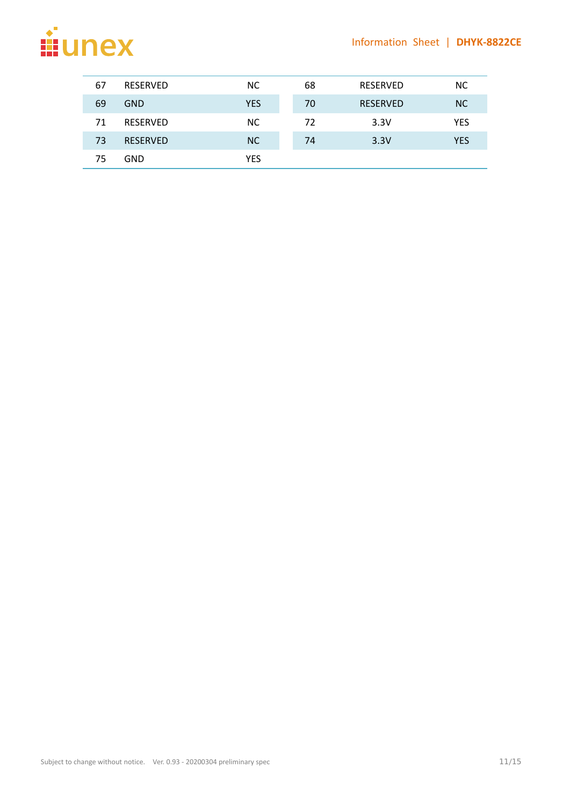

| 67 | <b>RESERVED</b> | NC.        | 68 | <b>RESERVED</b> | NC.        |
|----|-----------------|------------|----|-----------------|------------|
| 69 | <b>GND</b>      | <b>YES</b> | 70 | <b>RESERVED</b> | NC.        |
| 71 | <b>RESERVED</b> | NC.        | 72 | 3.3V            | <b>YES</b> |
| 73 | <b>RESERVED</b> | <b>NC</b>  | 74 | 3.3V            | <b>YES</b> |
| 75 | GND             | YES        |    |                 |            |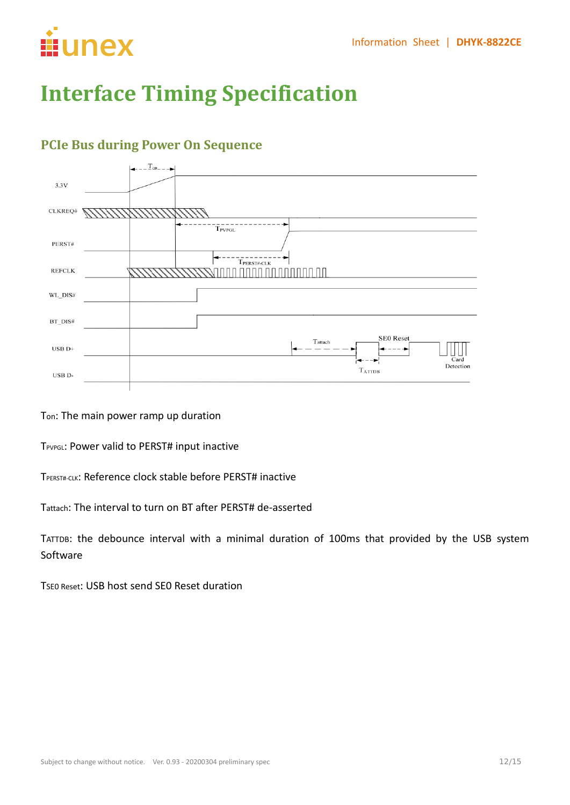

### **Interface Timing Specification**

#### $\leftarrow$  -  $T_{\text{on}}$  - -  $\rightarrow$  $3.3V$ CLKREQ# 11/1/1  $\overline{T}_{\text{PVPGL}}$ PERST#  $\left| \leftarrow \left. \left. - \left. - \left. - \left. - \left. - \left. - \left. - \right. - \right. - \left. - \left. - \left. - \right. - \right. - \right. - \right. - \left. - \left. - \left. - \left. - \left. - \left. - \left. - \left. - \right. - \right. - \right. - \right. - \right. - \right. - \right. \right|$ **REFCLK** nn nannan na nann na na*nn 17777* 11111111 WL\_DIS# BT\_DIS# SE0 Reset Tattach USB  $D+$ Detection  $T_{ATTDB}$ USB D

#### **PCIe Bus during Power On Sequence**

Ton: The main power ramp up duration

TPVPGL: Power valid to PERST# input inactive

TPERST#-CLK: Reference clock stable before PERST# inactive

Tattach: The interval to turn on BT after PERST# de-asserted

TATTDB: the debounce interval with a minimal duration of 100ms that provided by the USB system Software

TSE0 Reset: USB host send SE0 Reset duration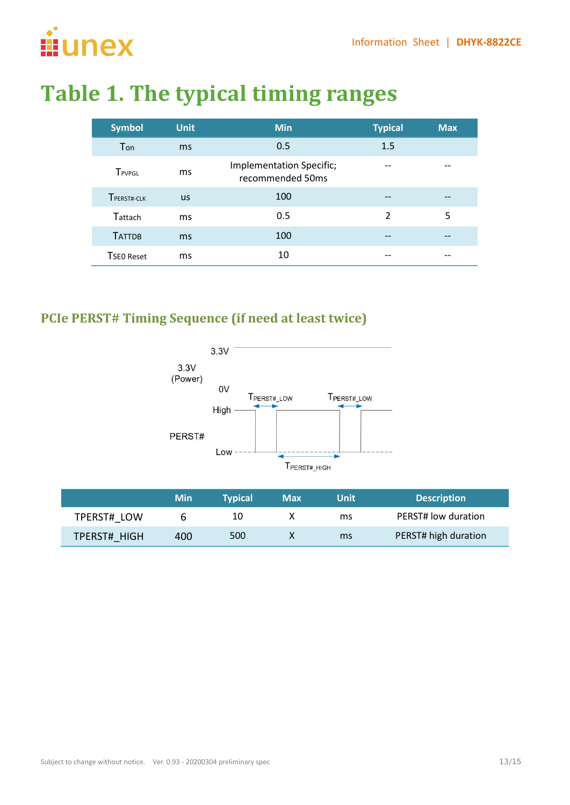

### **Table 1. The typical timing ranges**

| <b>Symbol</b> | <b>Unit</b> | <b>Min</b>                                   | <b>Typical</b> | <b>Max</b> |
|---------------|-------------|----------------------------------------------|----------------|------------|
| Ton           | ms          | 0.5                                          | 1.5            |            |
| TPVPGL        | ms          | Implementation Specific;<br>recommended 50ms |                |            |
| TPERST#-CLK   | <b>us</b>   | 100                                          | --             | --         |
| Tattach       | ms          | 0.5                                          | $\mathfrak{D}$ | 5          |
| <b>TATTDB</b> | ms          | 100                                          | --             |            |
| TSEO Reset    | ms          | 10                                           |                |            |

#### **PCIe PERST# Timing Sequence (if need at least twice)**



|              | <b>Min</b> | <b>Typical</b> | <b>Max</b> | Unit | <b>Description</b>   |
|--------------|------------|----------------|------------|------|----------------------|
| TPERST# LOW  |            | 10             |            | ms   | PERST# low duration  |
| TPERST# HIGH | 400        | 500            |            | ms   | PERST# high duration |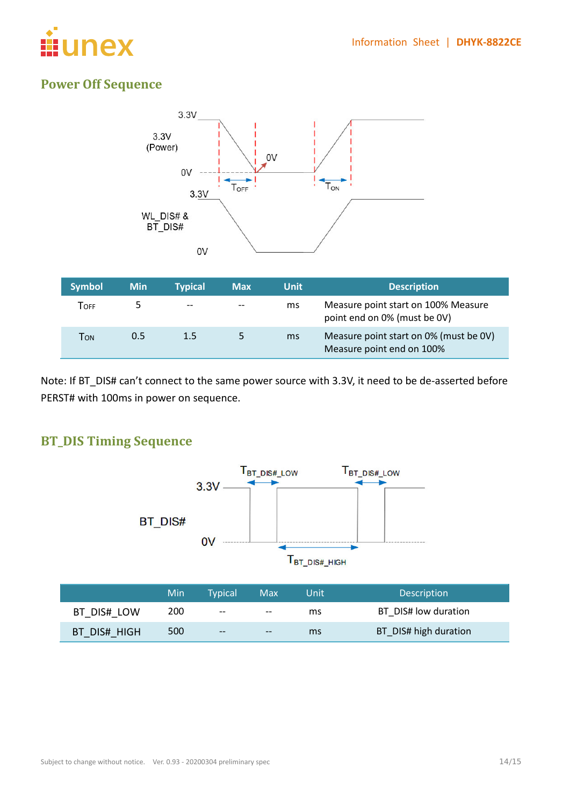

#### **Power Off Sequence**



Note: If BT\_DIS# can't connect to the same power source with 3.3V, it need to be de-asserted before PERST# with 100ms in power on sequence.

#### **BT\_DIS Timing Sequence**



|              | Min | Tvpical' | <b>Max</b> | Unit | <b>Description</b>    |
|--------------|-----|----------|------------|------|-----------------------|
| BT DIS# LOW  | 200 | $- -$    | $- -$      | ms   | BT DIS# low duration  |
| BT DIS# HIGH | 500 | $- -$    | $- -$      | ms   | BT_DIS# high duration |